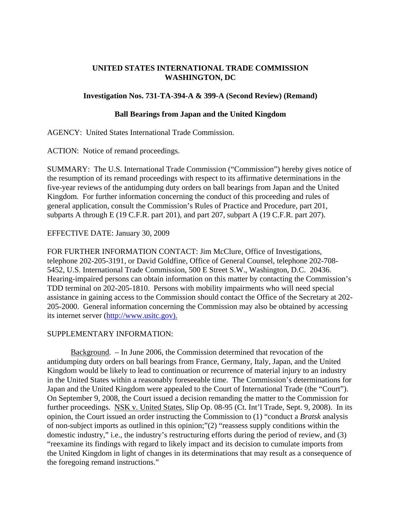# **UNITED STATES INTERNATIONAL TRADE COMMISSION WASHINGTON, DC**

# **Investigation Nos. 731-TA-394-A & 399-A (Second Review) (Remand)**

### **Ball Bearings from Japan and the United Kingdom**

AGENCY: United States International Trade Commission.

ACTION: Notice of remand proceedings.

SUMMARY: The U.S. International Trade Commission ("Commission") hereby gives notice of the resumption of its remand proceedings with respect to its affirmative determinations in the five-year reviews of the antidumping duty orders on ball bearings from Japan and the United Kingdom. For further information concerning the conduct of this proceeding and rules of general application, consult the Commission's Rules of Practice and Procedure, part 201, subparts A through E (19 C.F.R. part 201), and part 207, subpart A (19 C.F.R. part 207).

# EFFECTIVE DATE: January 30, 2009

FOR FURTHER INFORMATION CONTACT: Jim McClure, Office of Investigations, telephone 202-205-3191, or David Goldfine, Office of General Counsel, telephone 202-708- 5452, U.S. International Trade Commission, 500 E Street S.W., Washington, D.C. 20436. Hearing-impaired persons can obtain information on this matter by contacting the Commission's TDD terminal on 202-205-1810. Persons with mobility impairments who will need special assistance in gaining access to the Commission should contact the Office of the Secretary at 202- 205-2000. General information concerning the Commission may also be obtained by accessing its internet server (http://www.usitc.gov).

### SUPPLEMENTARY INFORMATION:

Background. – In June 2006, the Commission determined that revocation of the antidumping duty orders on ball bearings from France, Germany, Italy, Japan, and the United Kingdom would be likely to lead to continuation or recurrence of material injury to an industry in the United States within a reasonably foreseeable time. The Commission's determinations for Japan and the United Kingdom were appealed to the Court of International Trade (the "Court"). On September 9, 2008, the Court issued a decision remanding the matter to the Commission for further proceedings. NSK v. United States, Slip Op. 08-95 (Ct. Int'l Trade, Sept. 9, 2008). In its opinion, the Court issued an order instructing the Commission to (1) "conduct a *Bratsk* analysis of non-subject imports as outlined in this opinion;"(2) "reassess supply conditions within the domestic industry," i.e., the industry's restructuring efforts during the period of review, and (3) "reexamine its findings with regard to likely impact and its decision to cumulate imports from the United Kingdom in light of changes in its determinations that may result as a consequence of the foregoing remand instructions."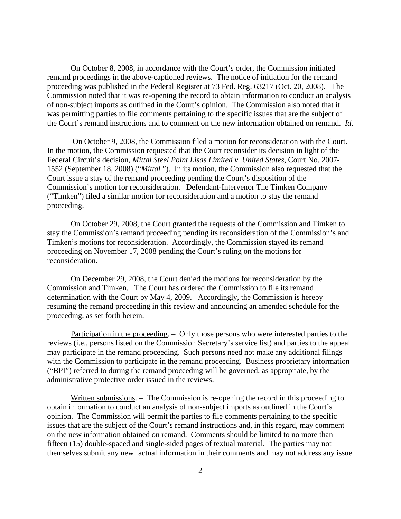On October 8, 2008, in accordance with the Court's order, the Commission initiated remand proceedings in the above-captioned reviews. The notice of initiation for the remand proceeding was published in the Federal Register at 73 Fed. Reg. 63217 (Oct. 20, 2008). The Commission noted that it was re-opening the record to obtain information to conduct an analysis of non-subject imports as outlined in the Court's opinion. The Commission also noted that it was permitting parties to file comments pertaining to the specific issues that are the subject of the Court's remand instructions and to comment on the new information obtained on remand. *Id*.

 On October 9, 2008, the Commission filed a motion for reconsideration with the Court. In the motion, the Commission requested that the Court reconsider its decision in light of the Federal Circuit's decision, *Mittal Steel Point Lisas Limited v. United States*, Court No. 2007- 1552 (September 18, 2008) ("*Mittal* "). In its motion, the Commission also requested that the Court issue a stay of the remand proceeding pending the Court's disposition of the Commission's motion for reconsideration. Defendant-Intervenor The Timken Company ("Timken") filed a similar motion for reconsideration and a motion to stay the remand proceeding.

On October 29, 2008, the Court granted the requests of the Commission and Timken to stay the Commission's remand proceeding pending its reconsideration of the Commission's and Timken's motions for reconsideration. Accordingly, the Commission stayed its remand proceeding on November 17, 2008 pending the Court's ruling on the motions for reconsideration.

On December 29, 2008, the Court denied the motions for reconsideration by the Commission and Timken. The Court has ordered the Commission to file its remand determination with the Court by May 4, 2009. Accordingly, the Commission is hereby resuming the remand proceeding in this review and announcing an amended schedule for the proceeding, as set forth herein.

Participation in the proceeding. – Only those persons who were interested parties to the reviews (i.e., persons listed on the Commission Secretary's service list) and parties to the appeal may participate in the remand proceeding. Such persons need not make any additional filings with the Commission to participate in the remand proceeding. Business proprietary information ("BPI") referred to during the remand proceeding will be governed, as appropriate, by the administrative protective order issued in the reviews.

Written submissions. – The Commission is re-opening the record in this proceeding to obtain information to conduct an analysis of non-subject imports as outlined in the Court's opinion. The Commission will permit the parties to file comments pertaining to the specific issues that are the subject of the Court's remand instructions and, in this regard, may comment on the new information obtained on remand. Comments should be limited to no more than fifteen (15) double-spaced and single-sided pages of textual material. The parties may not themselves submit any new factual information in their comments and may not address any issue